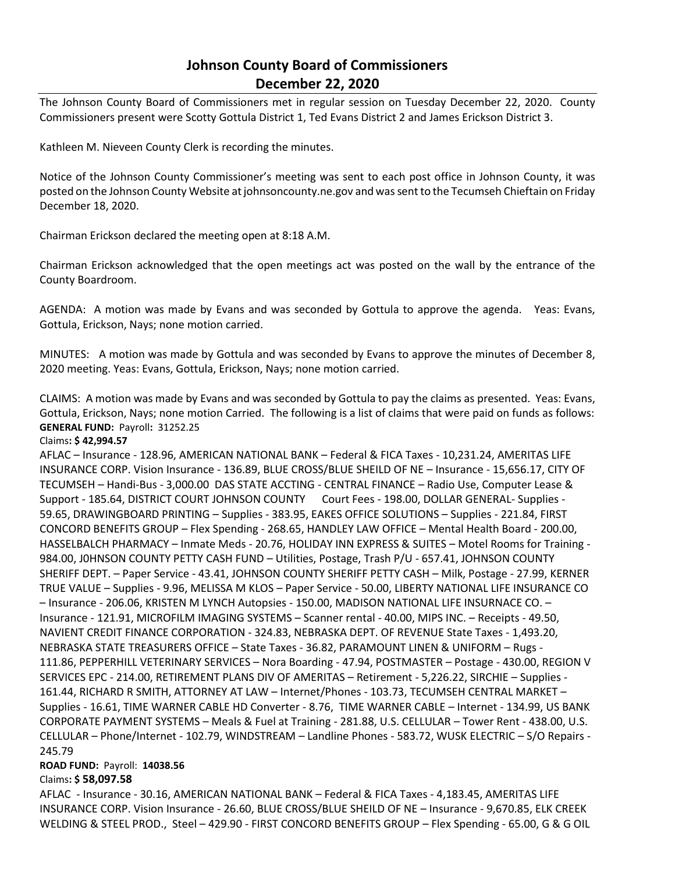# **Johnson County Board of Commissioners December 22, 2020**

The Johnson County Board of Commissioners met in regular session on Tuesday December 22, 2020. County Commissioners present were Scotty Gottula District 1, Ted Evans District 2 and James Erickson District 3.

Kathleen M. Nieveen County Clerk is recording the minutes.

Notice of the Johnson County Commissioner's meeting was sent to each post office in Johnson County, it was posted on the Johnson County Website at johnsoncounty.ne.gov and was sent to the Tecumseh Chieftain on Friday December 18, 2020.

Chairman Erickson declared the meeting open at 8:18 A.M.

Chairman Erickson acknowledged that the open meetings act was posted on the wall by the entrance of the County Boardroom.

AGENDA: A motion was made by Evans and was seconded by Gottula to approve the agenda. Yeas: Evans, Gottula, Erickson, Nays; none motion carried.

MINUTES: A motion was made by Gottula and was seconded by Evans to approve the minutes of December 8, 2020 meeting. Yeas: Evans, Gottula, Erickson, Nays; none motion carried.

CLAIMS: A motion was made by Evans and was seconded by Gottula to pay the claims as presented. Yeas: Evans, Gottula, Erickson, Nays; none motion Carried. The following is a list of claims that were paid on funds as follows: **GENERAL FUND:** Payroll**:** 31252.25

#### Claims**: \$ 42,994.57**

AFLAC – Insurance - 128.96, AMERICAN NATIONAL BANK – Federal & FICA Taxes - 10,231.24, AMERITAS LIFE INSURANCE CORP. Vision Insurance - 136.89, BLUE CROSS/BLUE SHEILD OF NE – Insurance - 15,656.17, CITY OF TECUMSEH – Handi-Bus - 3,000.00 DAS STATE ACCTING - CENTRAL FINANCE – Radio Use, Computer Lease & Support - 185.64, DISTRICT COURT JOHNSON COUNTY Court Fees - 198.00, DOLLAR GENERAL- Supplies - 59.65, DRAWINGBOARD PRINTING – Supplies - 383.95, EAKES OFFICE SOLUTIONS – Supplies - 221.84, FIRST CONCORD BENEFITS GROUP – Flex Spending - 268.65, HANDLEY LAW OFFICE – Mental Health Board - 200.00, HASSELBALCH PHARMACY – Inmate Meds - 20.76, HOLIDAY INN EXPRESS & SUITES – Motel Rooms for Training - 984.00, J0HNSON COUNTY PETTY CASH FUND – Utilities, Postage, Trash P/U - 657.41, JOHNSON COUNTY SHERIFF DEPT. – Paper Service - 43.41, JOHNSON COUNTY SHERIFF PETTY CASH – Milk, Postage - 27.99, KERNER TRUE VALUE – Supplies - 9.96, MELISSA M KLOS – Paper Service - 50.00, LIBERTY NATIONAL LIFE INSURANCE CO – Insurance - 206.06, KRISTEN M LYNCH Autopsies - 150.00, MADISON NATIONAL LIFE INSURNACE CO. – Insurance - 121.91, MICROFILM IMAGING SYSTEMS – Scanner rental - 40.00, MIPS INC. – Receipts - 49.50, NAVIENT CREDIT FINANCE CORPORATION - 324.83, NEBRASKA DEPT. OF REVENUE State Taxes - 1,493.20, NEBRASKA STATE TREASURERS OFFICE – State Taxes - 36.82, PARAMOUNT LINEN & UNIFORM – Rugs - 111.86, PEPPERHILL VETERINARY SERVICES – Nora Boarding - 47.94, POSTMASTER – Postage - 430.00, REGION V SERVICES EPC - 214.00, RETIREMENT PLANS DIV OF AMERITAS – Retirement - 5,226.22, SIRCHIE – Supplies - 161.44, RICHARD R SMITH, ATTORNEY AT LAW – Internet/Phones - 103.73, TECUMSEH CENTRAL MARKET – Supplies - 16.61, TIME WARNER CABLE HD Converter - 8.76, TIME WARNER CABLE – Internet - 134.99, US BANK CORPORATE PAYMENT SYSTEMS – Meals & Fuel at Training - 281.88, U.S. CELLULAR – Tower Rent - 438.00, U.S. CELLULAR – Phone/Internet - 102.79, WINDSTREAM – Landline Phones - 583.72, WUSK ELECTRIC – S/O Repairs - 245.79

# **ROAD FUND:** Payroll: **14038.56**

# Claims**: \$ 58,097.58**

AFLAC - Insurance - 30.16, AMERICAN NATIONAL BANK – Federal & FICA Taxes - 4,183.45, AMERITAS LIFE INSURANCE CORP. Vision Insurance - 26.60, BLUE CROSS/BLUE SHEILD OF NE – Insurance - 9,670.85, ELK CREEK WELDING & STEEL PROD., Steel – 429.90 - FIRST CONCORD BENEFITS GROUP – Flex Spending - 65.00, G & G OIL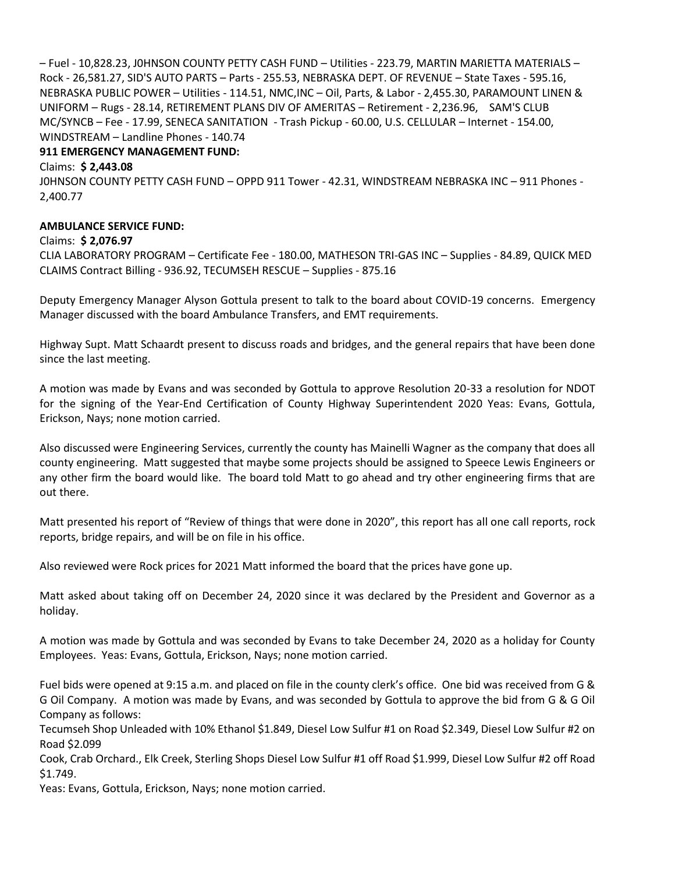– Fuel - 10,828.23, J0HNSON COUNTY PETTY CASH FUND – Utilities - 223.79, MARTIN MARIETTA MATERIALS – Rock - 26,581.27, SID'S AUTO PARTS – Parts - 255.53, NEBRASKA DEPT. OF REVENUE – State Taxes - 595.16, NEBRASKA PUBLIC POWER – Utilities - 114.51, NMC,INC – Oil, Parts, & Labor - 2,455.30, PARAMOUNT LINEN & UNIFORM – Rugs - 28.14, RETIREMENT PLANS DIV OF AMERITAS – Retirement - 2,236.96, SAM'S CLUB MC/SYNCB – Fee - 17.99, SENECA SANITATION - Trash Pickup - 60.00, U.S. CELLULAR – Internet - 154.00, WINDSTREAM – Landline Phones - 140.74

## **911 EMERGENCY MANAGEMENT FUND:**

Claims: **\$ 2,443.08**

J0HNSON COUNTY PETTY CASH FUND – OPPD 911 Tower - 42.31, WINDSTREAM NEBRASKA INC – 911 Phones - 2,400.77

## **AMBULANCE SERVICE FUND:**

#### Claims: **\$ 2,076.97**

CLIA LABORATORY PROGRAM – Certificate Fee - 180.00, MATHESON TRI-GAS INC – Supplies - 84.89, QUICK MED CLAIMS Contract Billing - 936.92, TECUMSEH RESCUE – Supplies - 875.16

Deputy Emergency Manager Alyson Gottula present to talk to the board about COVID-19 concerns. Emergency Manager discussed with the board Ambulance Transfers, and EMT requirements.

Highway Supt. Matt Schaardt present to discuss roads and bridges, and the general repairs that have been done since the last meeting.

A motion was made by Evans and was seconded by Gottula to approve Resolution 20-33 a resolution for NDOT for the signing of the Year-End Certification of County Highway Superintendent 2020 Yeas: Evans, Gottula, Erickson, Nays; none motion carried.

Also discussed were Engineering Services, currently the county has Mainelli Wagner as the company that does all county engineering. Matt suggested that maybe some projects should be assigned to Speece Lewis Engineers or any other firm the board would like. The board told Matt to go ahead and try other engineering firms that are out there.

Matt presented his report of "Review of things that were done in 2020", this report has all one call reports, rock reports, bridge repairs, and will be on file in his office.

Also reviewed were Rock prices for 2021 Matt informed the board that the prices have gone up.

Matt asked about taking off on December 24, 2020 since it was declared by the President and Governor as a holiday.

A motion was made by Gottula and was seconded by Evans to take December 24, 2020 as a holiday for County Employees. Yeas: Evans, Gottula, Erickson, Nays; none motion carried.

Fuel bids were opened at 9:15 a.m. and placed on file in the county clerk's office. One bid was received from G & G Oil Company. A motion was made by Evans, and was seconded by Gottula to approve the bid from G & G Oil Company as follows:

Tecumseh Shop Unleaded with 10% Ethanol \$1.849, Diesel Low Sulfur #1 on Road \$2.349, Diesel Low Sulfur #2 on Road \$2.099

Cook, Crab Orchard., Elk Creek, Sterling Shops Diesel Low Sulfur #1 off Road \$1.999, Diesel Low Sulfur #2 off Road \$1.749.

Yeas: Evans, Gottula, Erickson, Nays; none motion carried.